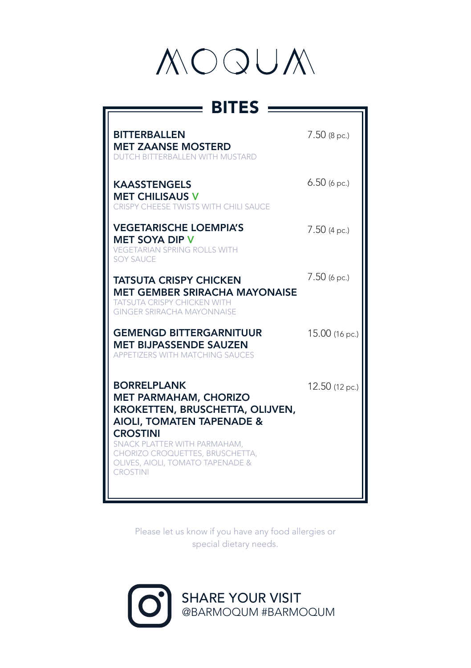

| $\equiv$ BITES :                                                                                                                                                                                                                                                           |                |
|----------------------------------------------------------------------------------------------------------------------------------------------------------------------------------------------------------------------------------------------------------------------------|----------------|
| <b>BITTERBALLEN</b><br><b>MET ZAANSE MOSTERD</b><br><b>DUTCH BITTERBALLEN WITH MUSTARD</b>                                                                                                                                                                                 | $7.50$ (8 pc.) |
| <b>KAASSTENGELS</b><br><b>MET CHILISAUS V</b><br>CRISPY CHEESE TWISTS WITH CHILI SAUCE                                                                                                                                                                                     | $6.50$ (6 pc.) |
| <b>VEGETARISCHE LOEMPIA'S</b><br><b>MET SOYA DIP V</b><br><b>VEGETARIAN SPRING ROLLS WITH</b><br><b>SOY SAUCE</b>                                                                                                                                                          | $7.50$ (4 pc.) |
| <b>TATSUTA CRISPY CHICKEN</b><br><b>MET GEMBER SRIRACHA MAYONAISE</b><br><b>TATSUTA CRISPY CHICKEN WITH</b><br><b>GINGER SRIRACHA MAYONNAISE</b>                                                                                                                           | $7.50$ (6 pc.) |
| <b>GEMENGD BITTERGARNITUUR</b><br><b>MET BIJPASSENDE SAUZEN</b><br><b>APPETIZERS WITH MATCHING SAUCES</b>                                                                                                                                                                  | 15.00 (16 pc.) |
| <b>BORRELPLANK</b><br><b>MET PARMAHAM, CHORIZO</b><br>KROKETTEN, BRUSCHETTA, OLIJVEN,<br><b>AIOLI, TOMATEN TAPENADE &amp;</b><br><b>CROSTINI</b><br>SNACK PLATTER WITH PARMAHAM,<br>CHORIZO CROQUETTES, BRUSCHETTA,<br>OLIVES, AIOLI, TOMATO TAPENADE &<br><b>CROSTINI</b> | 12.50 (12 pc.) |

Please let us know if you have any food allergies or special dietary needs.

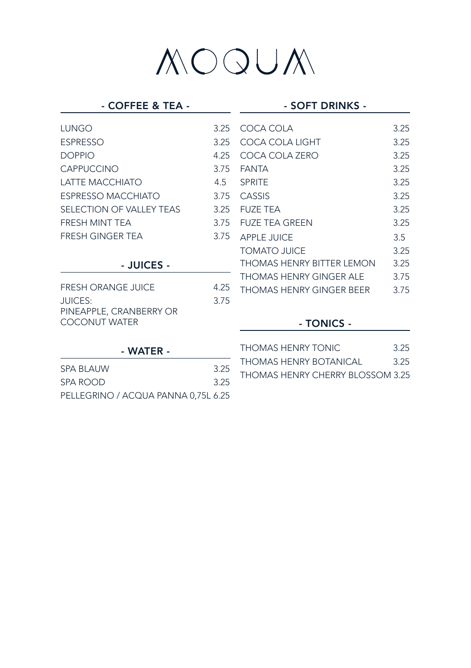#### - COFFEE & TEA -

#### - SOFT DRINKS -

| LUNGO                                           | 3.25 | COCA COLA                 | 3.25          |
|-------------------------------------------------|------|---------------------------|---------------|
| <b>ESPRESSO</b>                                 | 3.25 | COCA COLA LIGHT           | 3.25          |
| <b>DOPPIO</b>                                   | 4.25 | COCA COLA ZERO            | 3.25          |
| <b>CAPPUCCINO</b>                               | 3.75 | <b>FANTA</b>              | 3.25          |
| LATTE MACCHIATO                                 | 4.5  | <b>SPRITE</b>             | 3.25          |
| <b>ESPRESSO MACCHIATO</b>                       | 3.75 | CASSIS                    | 3.25          |
| <b>SELECTION OF VALLEY TEAS</b>                 | 3.25 | <b>FUZE TEA</b>           | 3.25          |
| FRESH MINT TEA                                  | 3.75 | <b>FUZE TEA GREEN</b>     | 3.25          |
| <b>FRESH GINGER TEA</b>                         | 3.75 | <b>APPLE JUICE</b>        | $3.5^{\circ}$ |
|                                                 |      | <b>TOMATO JUICE</b>       | 3.25          |
| - JUICES -                                      |      | THOMAS HENRY BITTER LEMON | 3.25          |
|                                                 |      | THOMAS HENRY GINGER ALE   | 3.75          |
| <b>FRESH ORANGE JUICE</b>                       | 4.25 | THOMAS HENRY GINGER BEER  | 3.75          |
| JUICES:                                         | 3.75 |                           |               |
| PINEAPPLE, CRANBERRY OR<br><b>COCONUT WATER</b> |      | - TONICS -                |               |
|                                                 |      | TUON 44 C LIFNIDV TONUC   | $\Omega$      |

#### - WATER -

| <b>SPA BLAUW</b>                    | 3.25 |
|-------------------------------------|------|
| SPA ROOD                            | 3.25 |
| PELLEGRINO / ACQUA PANNA 0,75L 6.25 |      |

THOMAS HENRY TONIC 3.25 THOMAS HENRY BOTANICAL 3.25 THOMAS HENRY CHERRY BLOSSOM 3.25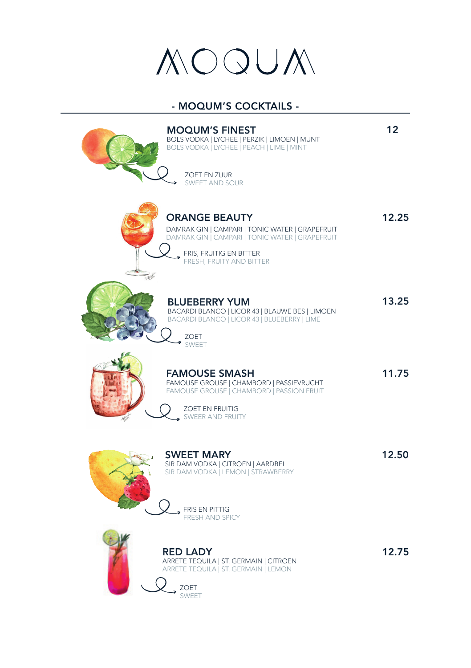### $OQUX$

#### - MOQUM'S COCKTAILS -

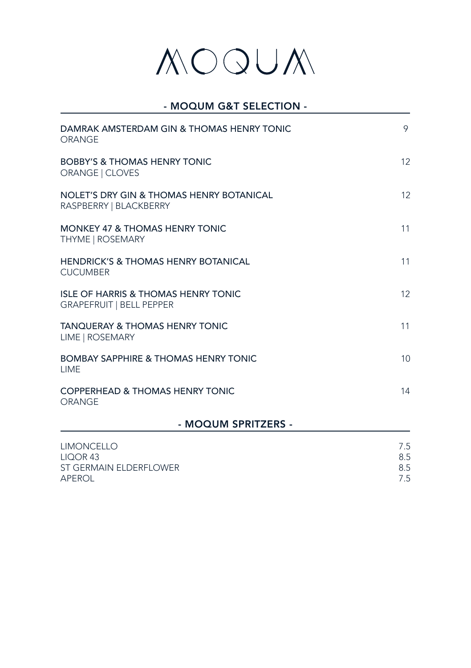#### - MOQUM G&T SELECTION -

| DAMRAK AMSTERDAM GIN & THOMAS HENRY TONIC<br>ORANGE                               | 9                        |
|-----------------------------------------------------------------------------------|--------------------------|
| <b>BOBBY'S &amp; THOMAS HENRY TONIC</b><br>ORANGE   CLOVES                        | 12                       |
| NOLET'S DRY GIN & THOMAS HENRY BOTANICAL<br>RASPBERRY   BLACKBERRY                | 12                       |
| <b>MONKEY 47 &amp; THOMAS HENRY TONIC</b><br><b>THYME   ROSEMARY</b>              | 11                       |
| <b>HENDRICK'S &amp; THOMAS HENRY BOTANICAL</b><br><b>CUCUMBER</b>                 | 11                       |
| <b>ISLE OF HARRIS &amp; THOMAS HENRY TONIC</b><br><b>GRAPEFRUIT   BELL PEPPER</b> | 12                       |
| <b>TANQUERAY &amp; THOMAS HENRY TONIC</b><br>LIME   ROSEMARY                      | 11                       |
| <b>BOMBAY SAPPHIRE &amp; THOMAS HENRY TONIC</b><br><b>I IMF</b>                   | 10 <sup>1</sup>          |
| <b>COPPERHEAD &amp; THOMAS HENRY TONIC</b><br>ORANGE                              | 14                       |
| - MOQUM SPRITZERS -                                                               |                          |
| <b>LIMONCELLO</b><br>LIQOR <sub>43</sub><br>ST GERMAIN ELDERFLOWER<br>APEROL      | 7.5<br>8.5<br>8.5<br>7.5 |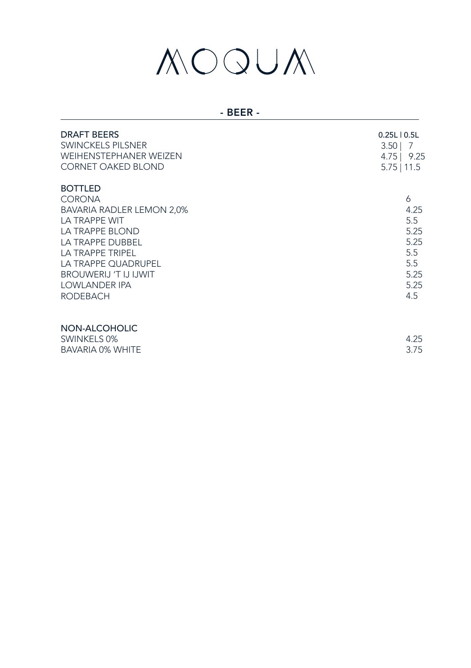#### - BEER -

| <b>DRAFT BEERS</b><br><b>SWINCKELS PILSNER</b><br><b>WEIHENSTEPHANER WEIZEN</b><br><b>CORNET OAKED BLOND</b>                                                                                                                                             | $0.25L$   $0.5L$<br>3.50<br>- 7<br>4.75   9.25<br>$5.75$   11.5       |
|----------------------------------------------------------------------------------------------------------------------------------------------------------------------------------------------------------------------------------------------------------|-----------------------------------------------------------------------|
| <b>BOTTLED</b><br><b>CORONA</b><br><b>BAVARIA RADLER LEMON 2,0%</b><br>LA TRAPPE WIT<br><b>LA TRAPPE BLOND</b><br>LA TRAPPE DUBBEL<br>LA TRAPPE TRIPEL<br>LA TRAPPE QUADRUPEL<br><b>BROUWERLI 'T IJ IJWIT</b><br><b>LOWLANDER IPA</b><br><b>RODEBACH</b> | 6<br>4.25<br>5.5<br>5.25<br>5.25<br>5.5<br>5.5<br>5.25<br>5.25<br>4.5 |
| NON-ALCOHOLIC<br>SWINKELS 0%<br><b>BAVARIA 0% WHITE</b>                                                                                                                                                                                                  | 4.25<br>3.75                                                          |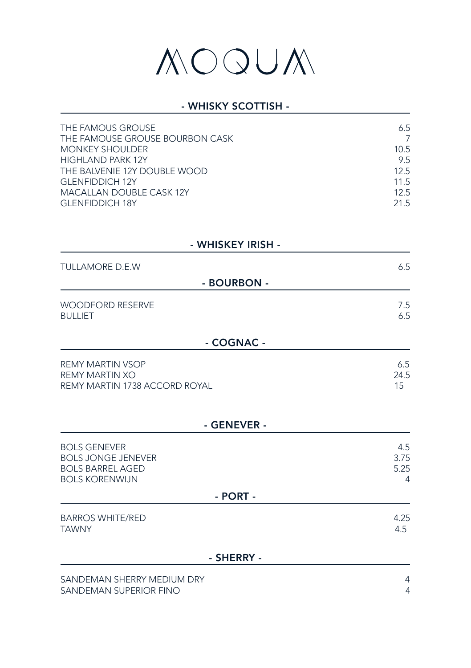#### - WHISKY SCOTTISH -

| THE FAMOUS GROUSE               | 6.5  |
|---------------------------------|------|
| THE FAMOUSE GROUSE BOURBON CASK |      |
| <b>MONKEY SHOULDER</b>          | 10.5 |
| <b>HIGHLAND PARK 12Y</b>        | 9.5  |
| THE BALVENIE 12Y DOUBLE WOOD    | 12.5 |
| <b>GLENFIDDICH 12Y</b>          | 11.5 |
| <b>MACALLAN DOUBLE CASK 12Y</b> | 12.5 |
| <b>GLENFIDDICH 18Y</b>          | 215  |

#### - WHISKEY IRISH -

| <b>TULLAMORE D.E.W</b>                    |             | 6.5        |
|-------------------------------------------|-------------|------------|
|                                           | - BOURBON - |            |
| <b>WOODFORD RESERVE</b><br><b>BULLIET</b> |             | 7.5<br>6.5 |

#### - COGNAC -

| REMY MARTIN VSOP              | 6.5  |
|-------------------------------|------|
| REMY MARTIN XO                | 24.5 |
| REMY MARTIN 1738 ACCORD ROYAL | 15   |
|                               |      |

#### - GENEVER -

| <b>BOLS GENEVER</b><br><b>BOLS JONGE JENEVER</b><br><b>BOLS BARREL AGED</b><br><b>BOLS KORENWIJN</b> | 4.5<br>3.75<br>5.25<br>4 |
|------------------------------------------------------------------------------------------------------|--------------------------|
| - PORT -                                                                                             |                          |
| <b>BARROS WHITE/RED</b><br><b>TAWNY</b>                                                              | 4.25<br>4.5              |
| - SHERRY -                                                                                           |                          |
| SANDEMAN SHERRY MEDIUM DRY                                                                           | 4                        |

SANDEMAN SUPERIOR FINO 4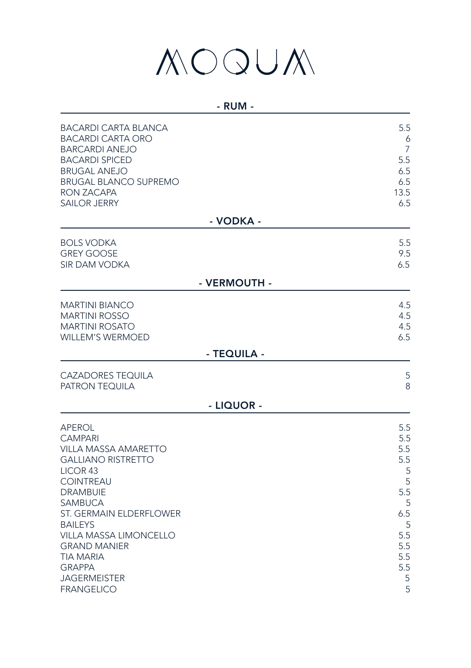| ×<br>v |
|--------|
|--------|

| <b>BACARDI CARTA BLANCA</b>                                                                                      | 5.5                      |
|------------------------------------------------------------------------------------------------------------------|--------------------------|
| <b>BACARDI CARTA ORO</b>                                                                                         | 6                        |
| <b>BARCARDI ANEJO</b>                                                                                            | 7                        |
| <b>BACARDI SPICED</b>                                                                                            | 5.5                      |
| <b>BRUGAL ANEJO</b>                                                                                              | 6.5                      |
| <b>BRUGAL BLANCO SUPREMO</b>                                                                                     | 6.5                      |
| RON ZACAPA                                                                                                       | 13.5                     |
| <b>SAILOR JERRY</b>                                                                                              | 6.5                      |
| - VODKA -                                                                                                        |                          |
| <b>BOLS VODKA</b>                                                                                                | 5.5                      |
| <b>GREY GOOSE</b>                                                                                                | 9.5                      |
| <b>SIR DAM VODKA</b>                                                                                             | 6.5                      |
| - VERMOUTH -                                                                                                     |                          |
| <b>MARTINI BIANCO</b><br><b>MARTINI ROSSO</b><br><b>MARTINI ROSATO</b><br><b>WILLEM'S WERMOED</b><br>- TEQUILA - | 4.5<br>4.5<br>4.5<br>6.5 |
| <b>CAZADORES TEQUILA</b>                                                                                         | 5                        |
| <b>PATRON TEQUILA</b>                                                                                            | 8                        |
| - LIQUOR -                                                                                                       |                          |
| <b>APEROL</b>                                                                                                    | 5.5                      |
| <b>CAMPARI</b>                                                                                                   | 5.5                      |
| <b>VILLA MASSA AMARETTO</b>                                                                                      | 5.5                      |
| <b>GALLIANO RISTRETTO</b>                                                                                        | 5.5                      |
| LICOR <sub>43</sub>                                                                                              | 5                        |
| <b>COINTREAU</b>                                                                                                 | 5                        |
| <b>DRAMBUIE</b>                                                                                                  | 5.5                      |
| <b>SAMBUCA</b>                                                                                                   | 5                        |
| <b>ST. GERMAIN ELDERFLOWER</b>                                                                                   | 6.5                      |
| <b>BAILEYS</b>                                                                                                   | 5                        |
| <b>VILLA MASSA LIMONCELLO</b>                                                                                    | 5.5                      |
| <b>GRAND MANIER</b>                                                                                              | 5.5                      |
| <b>TIA MARIA</b>                                                                                                 | 5.5                      |
| <b>GRAPPA</b>                                                                                                    | 5.5                      |
| <b>JAGERMEISTER</b>                                                                                              | 5                        |
| <b>FRANGELICO</b>                                                                                                | 5                        |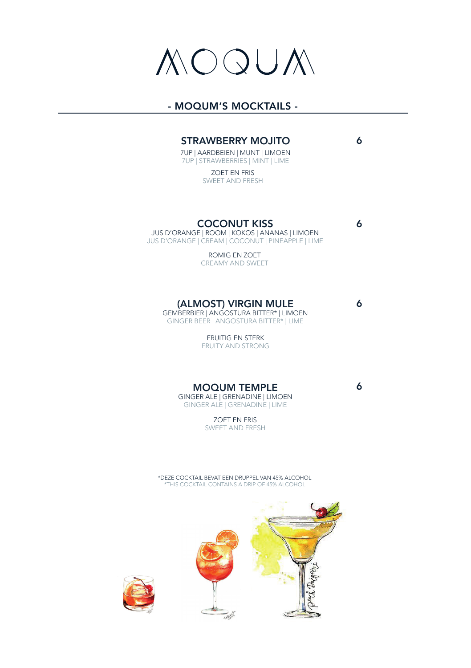### OQUM

#### - MOQUM'S MOCKTAILS -

#### STRAWBERRY MOJITO

6

6

6

6

7UP | AARDBEIEN | MUNT | LIMOEN 7UP | STRAWBERRIES | MINT | LIME

> ZOET EN FRIS SWEET AND FRESH

#### COCONUT KISS

JUS D'ORANGE | ROOM | KOKOS | ANANAS | LIMOEN JUS D'ORANGE | CREAM | COCONUT | PINEAPPLE | LIME

> ROMIG EN ZOET CREAMY AND SWEET

#### (ALMOST) VIRGIN MULE

GEMBERBIER | ANGOSTURA BITTER\* | LIMOEN GINGER BEER | ANGOSTURA BITTER\* | LIME

> FRUITIG EN STERK FRUITY AND STRONG

MOQUM TEMPLE GINGER ALE | GRENADINE | LIMOEN GINGER ALE | GRENADINE | LIME

> ZOET EN FRIS SWEET AND FRESH

\*DEZE COCKTAIL BEVAT EEN DRUPPEL VAN 45% ALCOHOL \*THIS COCKTAIL CONTAINS A DRIP OF 45% ALCOHOL



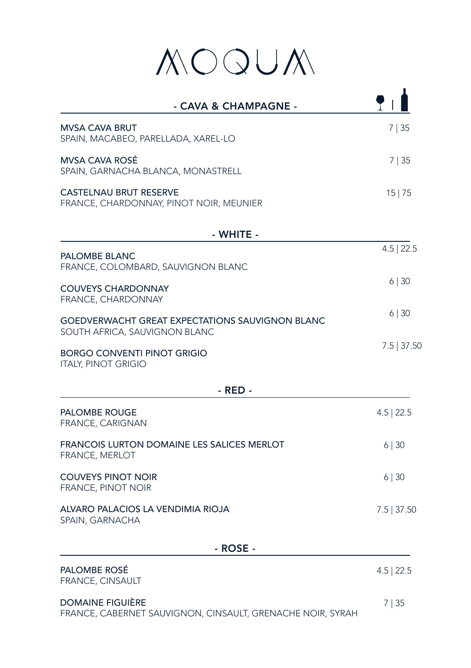# MOQUA

| - CAVA & CHAMPAGNE -                                                                  |               |
|---------------------------------------------------------------------------------------|---------------|
| MVSA CAVA BRUT<br>SPAIN, MACABEO, PARELLADA, XAREL-LO                                 | 7 35          |
| <b>MVSA CAVA ROSE</b><br>SPAIN, GARNACHA BLANCA, MONASTRELL                           | 7 35          |
| CASTELNAU BRUT RESERVE<br>FRANCE, CHARDONNAY, PINOT NOIR, MEUNIER                     | 15 75         |
| - WHITE -                                                                             |               |
| PALOMBE BLANC<br>FRANCE, COLOMBARD, SAUVIGNON BLANC                                   | $4.5$   22.5  |
| <b>COUVEYS CHARDONNAY</b><br>FRANCE, CHARDONNAY                                       | 6 30          |
| GOEDVERWACHT GREAT EXPECTATIONS SAUVIGNON BLANC<br>SOUTH AFRICA, SAUVIGNON BLANC      | 6 30          |
| <b>BORGO CONVENTI PINOT GRIGIO</b><br><b>ITALY, PINOT GRIGIO</b>                      | $7.5$   37.50 |
| - RED -                                                                               |               |
| <b>PALOMBE ROUGE</b><br>FRANCE, CARIGNAN                                              | $4.5$   22.5  |
| FRANCOIS LURTON DOMAINE LES SALICES MERLOT<br><b>FRANCE, MERLOT</b>                   | $6 \mid 30$   |
| <b>COUVEYS PINOT NOIR</b><br><b>FRANCE, PINOT NOIR</b>                                | $6 \mid 30$   |
| ALVARO PALACIOS LA VENDIMIA RIOJA<br>SPAIN, GARNACHA                                  | $7.5$ 37.50   |
| - ROSE -                                                                              |               |
| PALOMBE ROSÉ<br><b>FRANCE, CINSAULT</b>                                               | $4.5$   22.5  |
| <b>DOMAINE FIGUIÈRE</b><br>FRANCE, CABERNET SAUVIGNON, CINSAULT, GRENACHE NOIR, SYRAH | 7   35        |